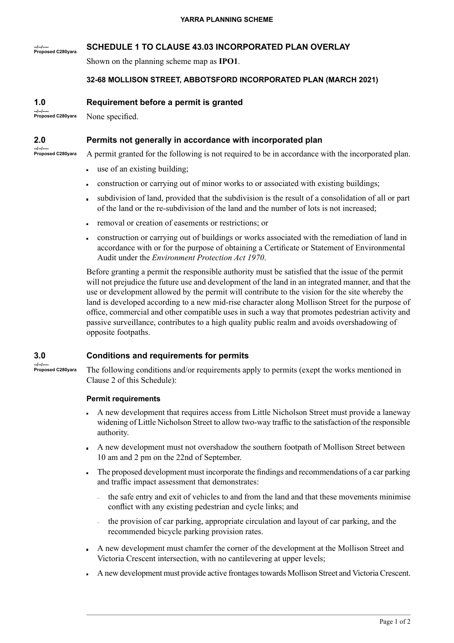### **--/--/---- Proposed C280yara SCHEDULE 1 TO CLAUSE 43.03 INCORPORATED PLAN OVERLAY**

Shown on the planning scheme map as **IPO1**.

# **32-68 MOLLISON STREET, ABBOTSFORD INCORPORATED PLAN (MARCH 2021)**

# **Requirement before a permit is granted**

**--/--/---- Proposed C280yara** None specified.

# **Permits not generally in accordance with incorporated plan**

**--/--/---- Proposed C280yara**

**1.0**

**2.0**

- A permit granted for the following is not required to be in accordance with the incorporated plan.
- use of an existing building;
- construction or carrying out of minor works to or associated with existing buildings;  $\blacksquare$
- subdivision of land, provided that the subdivision is the result of a consolidation of all or part of the land or the re-subdivision of the land and the number of lots is not increased;
- removal or creation of easements or restrictions; or
- construction or carrying out of buildings or works associated with the remediation of land in accordance with or for the purpose of obtaining a Certificate or Statement of Environmental Audit under the *Environment Protection Act 1970*.

Before granting a permit the responsible authority must be satisfied that the issue of the permit will not prejudice the future use and development of the land in an integrated manner, and that the use or development allowed by the permit will contribute to the vision for the site whereby the land is developed according to a new mid-rise character along Mollison Street for the purpose of office, commercial and other compatible uses in such a way that promotes pedestrian activity and passive surveillance, contributes to a high quality public realm and avoids overshadowing of opposite footpaths.

#### **3.0 Conditions and requirements for permits**

**--/--/---- Proposed C280yara**

The following conditions and/or requirements apply to permits (exept the works mentioned in Clause 2 of this Schedule):

### **Permit requirements**

- A new development that requires access from Little Nicholson Street must provide a laneway widening of Little Nicholson Street to allow two-way traffic to the satisfaction of the responsible authority.
- A new development must not overshadow the southern footpath of Mollison Street between 10 am and 2 pm on the 22nd of September.
- The proposed development must incorporate the findings and recommendations of a car parking and traffic impact assessment that demonstrates:
	- the safe entry and exit of vehicles to and from the land and that these movements minimise conflict with any existing pedestrian and cycle links; and
	- the provision of car parking, appropriate circulation and layout of car parking, and the recommended bicycle parking provision rates.
- A new development must chamfer the corner of the development at the Mollison Street and Victoria Crescent intersection, with no cantilevering at upper levels;
- A new development must provide active frontages towards Mollison Street and Victoria Crescent.